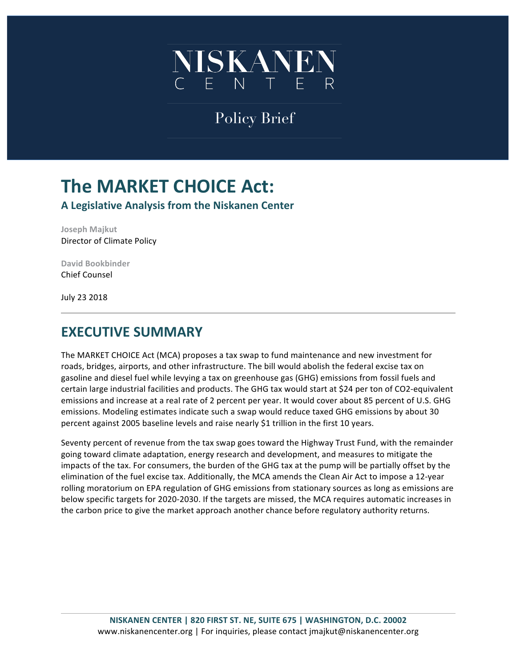

## Policy Brief

# **The MARKET CHOICE Act:**

## **A Legislative Analysis from the Niskanen Center**

**Joseph Majkut** Director of Climate Policy

**David Bookbinder Chief Counsel** 

July 23 2018

## **EXECUTIVE SUMMARY**

The MARKET CHOICE Act (MCA) proposes a tax swap to fund maintenance and new investment for roads, bridges, airports, and other infrastructure. The bill would abolish the federal excise tax on gasoline and diesel fuel while levying a tax on greenhouse gas (GHG) emissions from fossil fuels and certain large industrial facilities and products. The GHG tax would start at \$24 per ton of CO2-equivalent emissions and increase at a real rate of 2 percent per year. It would cover about 85 percent of U.S. GHG emissions. Modeling estimates indicate such a swap would reduce taxed GHG emissions by about 30 percent against 2005 baseline levels and raise nearly \$1 trillion in the first 10 years.

Seventy percent of revenue from the tax swap goes toward the Highway Trust Fund, with the remainder going toward climate adaptation, energy research and development, and measures to mitigate the impacts of the tax. For consumers, the burden of the GHG tax at the pump will be partially offset by the elimination of the fuel excise tax. Additionally, the MCA amends the Clean Air Act to impose a 12-year rolling moratorium on EPA regulation of GHG emissions from stationary sources as long as emissions are below specific targets for 2020-2030. If the targets are missed, the MCA requires automatic increases in the carbon price to give the market approach another chance before regulatory authority returns.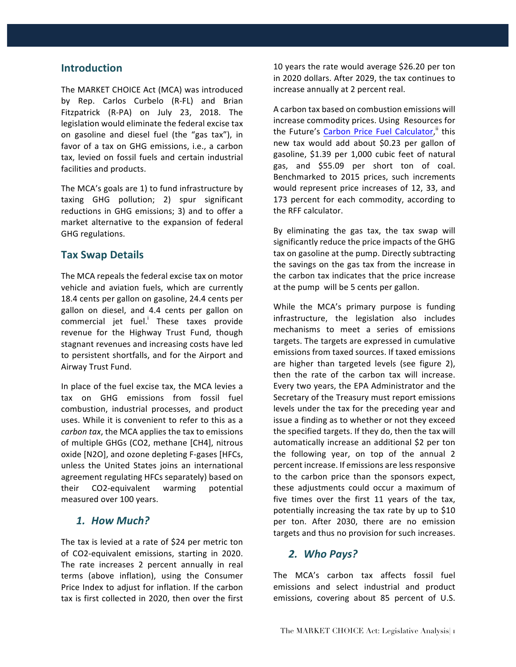#### **Introduction**

The MARKET CHOICE Act (MCA) was introduced by Rep. Carlos Curbelo (R-FL) and Brian Fitzpatrick (R-PA) on July 23, 2018. The legislation would eliminate the federal excise tax on gasoline and diesel fuel (the "gas tax"), in favor of a tax on GHG emissions, i.e., a carbon tax, levied on fossil fuels and certain industrial facilities and products.

The MCA's goals are 1) to fund infrastructure by taxing GHG pollution; 2) spur significant reductions in GHG emissions; 3) and to offer a market alternative to the expansion of federal GHG regulations.

#### **Tax Swap Details**

The MCA repeals the federal excise tax on motor vehicle and aviation fuels, which are currently 18.4 cents per gallon on gasoline, 24.4 cents per gallon on diesel, and 4.4 cents per gallon on commercial jet fuel.<sup>i</sup> These taxes provide revenue for the Highway Trust Fund, though stagnant revenues and increasing costs have led to persistent shortfalls, and for the Airport and Airway Trust Fund.

In place of the fuel excise tax, the MCA levies a tax on GHG emissions from fossil fuel combustion, industrial processes, and product uses. While it is convenient to refer to this as a *carbon tax*, the MCA applies the tax to emissions of multiple GHGs (CO2, methane [CH4], nitrous oxide [N2O], and ozone depleting F-gases [HFCs, unless the United States joins an international agreement regulating HFCs separately) based on their CO2-equivalent warming potential measured over 100 years.

#### *1. How Much?*

The tax is levied at a rate of  $$24$  per metric ton of CO2-equivalent emissions, starting in 2020. The rate increases 2 percent annually in real terms (above inflation), using the Consumer Price Index to adjust for inflation. If the carbon tax is first collected in 2020, then over the first

10 years the rate would average \$26.20 per ton in 2020 dollars. After 2029, the tax continues to increase annually at 2 percent real.

A carbon tax based on combustion emissions will increase commodity prices. Using Resources for the Future's <u>Carbon Price Fuel Calculator</u>,<sup>ii</sup> this new tax would add about \$0.23 per gallon of gasoline, \$1.39 per 1,000 cubic feet of natural gas, and \$55.09 per short ton of coal. Benchmarked to 2015 prices, such increments would represent price increases of 12, 33, and 173 percent for each commodity, according to the RFF calculator.

By eliminating the gas tax, the tax swap will significantly reduce the price impacts of the GHG tax on gasoline at the pump. Directly subtracting the savings on the gas tax from the increase in the carbon tax indicates that the price increase at the pump will be 5 cents per gallon.

While the MCA's primary purpose is funding infrastructure, the legislation also includes mechanisms to meet a series of emissions targets. The targets are expressed in cumulative emissions from taxed sources. If taxed emissions are higher than targeted levels (see figure 2), then the rate of the carbon tax will increase. Every two years, the EPA Administrator and the Secretary of the Treasury must report emissions levels under the tax for the preceding year and issue a finding as to whether or not they exceed the specified targets. If they do, then the tax will automatically increase an additional \$2 per ton the following year, on top of the annual 2 percent increase. If emissions are less responsive to the carbon price than the sponsors expect, these adjustments could occur a maximum of five times over the first 11 years of the tax, potentially increasing the tax rate by up to  $$10$ per ton. After 2030, there are no emission targets and thus no provision for such increases.

#### *2. Who Pays?*

The MCA's carbon tax affects fossil fuel emissions and select industrial and product emissions, covering about 85 percent of U.S.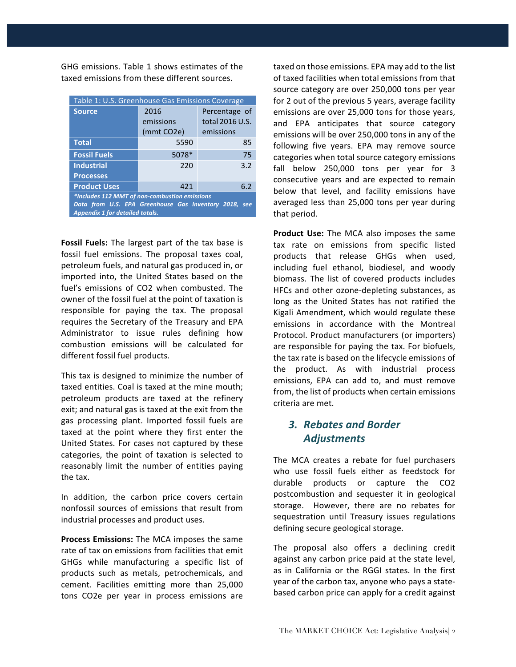GHG emissions. Table 1 shows estimates of the taxed emissions from these different sources.

| Table 1: U.S. Greenhouse Gas Emissions Coverage                                                 |            |                 |  |  |
|-------------------------------------------------------------------------------------------------|------------|-----------------|--|--|
| <b>Source</b>                                                                                   | 2016       | Percentage of   |  |  |
|                                                                                                 | emissions  | total 2016 U.S. |  |  |
|                                                                                                 | (mmt CO2e) | emissions       |  |  |
| <b>Total</b>                                                                                    | 5590       | 85              |  |  |
| <b>Fossil Fuels</b>                                                                             | 5078*      | 75              |  |  |
| <b>Industrial</b>                                                                               | 220        | 3.2             |  |  |
| <b>Processes</b>                                                                                |            |                 |  |  |
| <b>Product Uses</b>                                                                             | 421        | 6.2             |  |  |
| *Includes 112 MMT of non-combustion emissions                                                   |            |                 |  |  |
| Data from U.S. EPA Greenhouse Gas Inventory 2018, see<br><b>Appendix 1 for detailed totals.</b> |            |                 |  |  |

**Fossil Fuels:** The largest part of the tax base is fossil fuel emissions. The proposal taxes coal, petroleum fuels, and natural gas produced in, or imported into, the United States based on the fuel's emissions of CO2 when combusted. The owner of the fossil fuel at the point of taxation is responsible for paying the tax. The proposal requires the Secretary of the Treasury and EPA Administrator to issue rules defining how combustion emissions will be calculated for different fossil fuel products.

This tax is designed to minimize the number of taxed entities. Coal is taxed at the mine mouth; petroleum products are taxed at the refinery exit; and natural gas is taxed at the exit from the gas processing plant. Imported fossil fuels are taxed at the point where they first enter the United States. For cases not captured by these categories, the point of taxation is selected to reasonably limit the number of entities paying the tax.

In addition, the carbon price covers certain nonfossil sources of emissions that result from industrial processes and product uses.

**Process Emissions:** The MCA imposes the same rate of tax on emissions from facilities that emit GHGs while manufacturing a specific list of products such as metals, petrochemicals, and cement. Facilities emitting more than 25,000 tons CO2e per year in process emissions are

taxed on those emissions. EPA may add to the list of taxed facilities when total emissions from that source category are over 250,000 tons per year for 2 out of the previous 5 years, average facility emissions are over 25,000 tons for those years, and EPA anticipates that source category emissions will be over 250,000 tons in any of the following five years. EPA may remove source categories when total source category emissions fall below 250,000 tons per year for 3 consecutive years and are expected to remain below that level, and facility emissions have averaged less than 25,000 tons per year during that period.

**Product Use:** The MCA also imposes the same tax rate on emissions from specific listed products that release GHGs when used. including fuel ethanol, biodiesel, and woody biomass. The list of covered products includes HFCs and other ozone-depleting substances, as long as the United States has not ratified the Kigali Amendment, which would regulate these emissions in accordance with the Montreal Protocol. Product manufacturers (or importers) are responsible for paying the tax. For biofuels, the tax rate is based on the lifecycle emissions of the product. As with industrial process emissions, EPA can add to, and must remove from, the list of products when certain emissions criteria are met.

### **3. Rebates and Border** *Adjustments*

The MCA creates a rebate for fuel purchasers who use fossil fuels either as feedstock for durable products or capture the CO2 postcombustion and sequester it in geological storage. However, there are no rebates for sequestration until Treasury issues regulations defining secure geological storage.

The proposal also offers a declining credit against any carbon price paid at the state level, as in California or the RGGI states. In the first year of the carbon tax, anyone who pays a statebased carbon price can apply for a credit against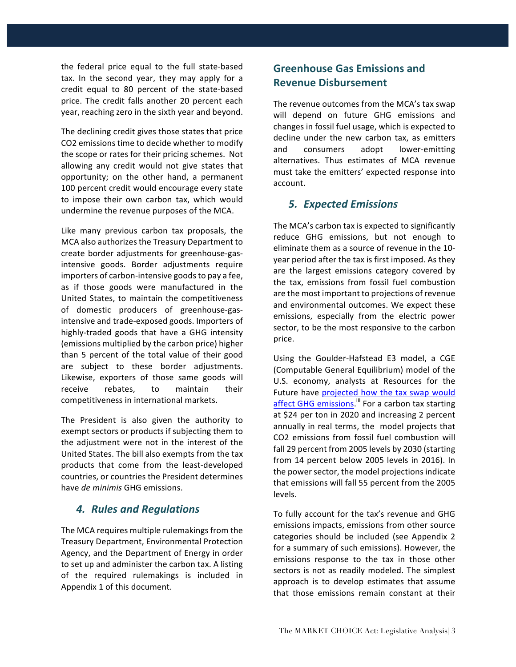the federal price equal to the full state-based tax. In the second year, they may apply for a credit equal to 80 percent of the state-based price. The credit falls another 20 percent each year, reaching zero in the sixth year and beyond.

The declining credit gives those states that price CO2 emissions time to decide whether to modify the scope or rates for their pricing schemes. Not allowing any credit would not give states that opportunity; on the other hand, a permanent 100 percent credit would encourage every state to impose their own carbon tax, which would undermine the revenue purposes of the MCA.

Like many previous carbon tax proposals, the MCA also authorizes the Treasury Department to create border adjustments for greenhouse-gasintensive goods. Border adjustments require importers of carbon-intensive goods to pay a fee, as if those goods were manufactured in the United States, to maintain the competitiveness of domestic producers of greenhouse-gasintensive and trade-exposed goods. Importers of highly-traded goods that have a GHG intensity (emissions multiplied by the carbon price) higher than 5 percent of the total value of their good are subject to these border adjustments. Likewise, exporters of those same goods will receive rebates, to maintain their competitiveness in international markets.

The President is also given the authority to exempt sectors or products if subjecting them to the adjustment were not in the interest of the United States. The bill also exempts from the tax products that come from the least-developed countries, or countries the President determines have *de minimis* GHG emissions.

#### *4. Rules and Regulations*

The MCA requires multiple rulemakings from the Treasury Department, Environmental Protection Agency, and the Department of Energy in order to set up and administer the carbon tax. A listing of the required rulemakings is included in Appendix 1 of this document.

## **Greenhouse Gas Emissions and Revenue Disbursement**

The revenue outcomes from the MCA's tax swap will depend on future GHG emissions and changes in fossil fuel usage, which is expected to decline under the new carbon tax, as emitters and consumers adopt lower-emitting alternatives. Thus estimates of MCA revenue must take the emitters' expected response into account. 

#### *5. Expected Emissions*

The MCA's carbon tax is expected to significantly reduce GHG emissions, but not enough to eliminate them as a source of revenue in the 10year period after the tax is first imposed. As they are the largest emissions category covered by the tax, emissions from fossil fuel combustion are the most important to projections of revenue and environmental outcomes. We expect these emissions, especially from the electric power sector, to be the most responsive to the carbon price.

Using the Goulder-Hafstead E3 model, a CGE (Computable General Equilibrium) model of the U.S. economy, analysts at Resources for the Future have projected how the tax swap would affect GHG emissions.<sup>iii</sup> For a carbon tax starting at \$24 per ton in 2020 and increasing 2 percent annually in real terms, the model projects that CO2 emissions from fossil fuel combustion will fall 29 percent from 2005 levels by 2030 (starting from 14 percent below 2005 levels in 2016). In the power sector, the model projections indicate that emissions will fall 55 percent from the 2005 levels.

To fully account for the tax's revenue and GHG emissions impacts, emissions from other source categories should be included (see Appendix 2 for a summary of such emissions). However, the emissions response to the tax in those other sectors is not as readily modeled. The simplest approach is to develop estimates that assume that those emissions remain constant at their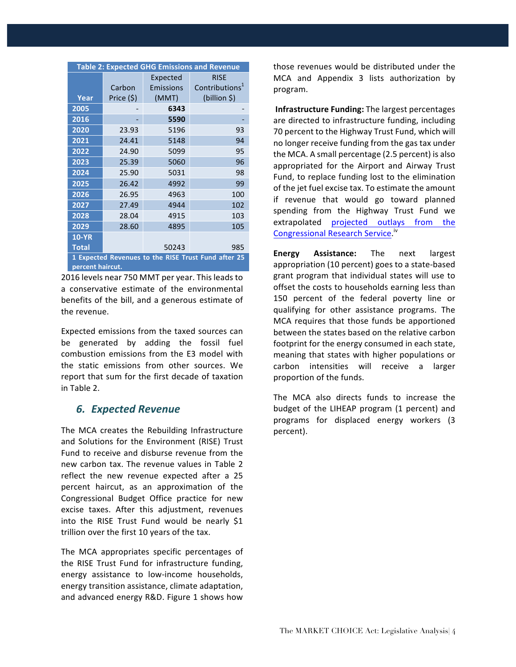| <b>Table 2: Expected GHG Emissions and Revenue</b>  |            |           |                            |  |
|-----------------------------------------------------|------------|-----------|----------------------------|--|
|                                                     |            | Expected  | <b>RISE</b>                |  |
|                                                     | Carbon     | Emissions | Contributions <sup>1</sup> |  |
| Year                                                | Price (\$) | (MMT)     | (billion \$)               |  |
| 2005                                                |            | 6343      |                            |  |
| 2016                                                |            | 5590      |                            |  |
| 2020                                                | 23.93      | 5196      | 93                         |  |
| 2021                                                | 24.41      | 5148      | 94                         |  |
| 2022                                                | 24.90      | 5099      | 95                         |  |
| 2023                                                | 25.39      | 5060      | 96                         |  |
| 2024                                                | 25.90      | 5031      | 98                         |  |
| 2025                                                | 26.42      | 4992      | 99                         |  |
| 2026                                                | 26.95      | 4963      | 100                        |  |
| 2027                                                | 27.49      | 4944      | 102                        |  |
| 2028                                                | 28.04      | 4915      | 103                        |  |
| 2029                                                | 28.60      | 4895      | 105                        |  |
| <b>10-YR</b>                                        |            |           |                            |  |
| Total                                               |            | 50243     | 985                        |  |
| 1 Expected Revenues to the RISE Trust Fund after 25 |            |           |                            |  |
| percent haircut.                                    |            |           |                            |  |

2016 levels near 750 MMT per year. This leads to a conservative estimate of the environmental benefits of the bill, and a generous estimate of the revenue.

Expected emissions from the taxed sources can be generated by adding the fossil fuel combustion emissions from the E3 model with the static emissions from other sources. We report that sum for the first decade of taxation in Table 2.

#### *6. Expected Revenue*

The MCA creates the Rebuilding Infrastructure and Solutions for the Environment (RISE) Trust Fund to receive and disburse revenue from the new carbon tax. The revenue values in Table 2 reflect the new revenue expected after a 25 percent haircut, as an approximation of the Congressional Budget Office practice for new excise taxes. After this adjustment, revenues into the RISE Trust Fund would be nearly \$1 trillion over the first 10 years of the tax.

The MCA appropriates specific percentages of the RISE Trust Fund for infrastructure funding, energy assistance to low-income households, energy transition assistance, climate adaptation, and advanced energy R&D. Figure 1 shows how

those revenues would be distributed under the MCA and Appendix 3 lists authorization by program.

**Infrastructure Funding:** The largest percentages are directed to infrastructure funding, including 70 percent to the Highway Trust Fund, which will no longer receive funding from the gas tax under the MCA. A small percentage (2.5 percent) is also appropriated for the Airport and Airway Trust Fund, to replace funding lost to the elimination of the jet fuel excise tax. To estimate the amount if revenue that would go toward planned spending from the Highway Trust Fund we extrapolated projected outlays from the Congressional Research Service.<sup>iv</sup>

**Energy Assistance:** The next largest appropriation (10 percent) goes to a state-based grant program that individual states will use to offset the costs to households earning less than 150 percent of the federal poverty line or qualifying for other assistance programs. The MCA requires that those funds be apportioned between the states based on the relative carbon footprint for the energy consumed in each state, meaning that states with higher populations or carbon intensities will receive a larger proportion of the funds.

The MCA also directs funds to increase the budget of the LIHEAP program (1 percent) and programs for displaced energy workers (3 percent).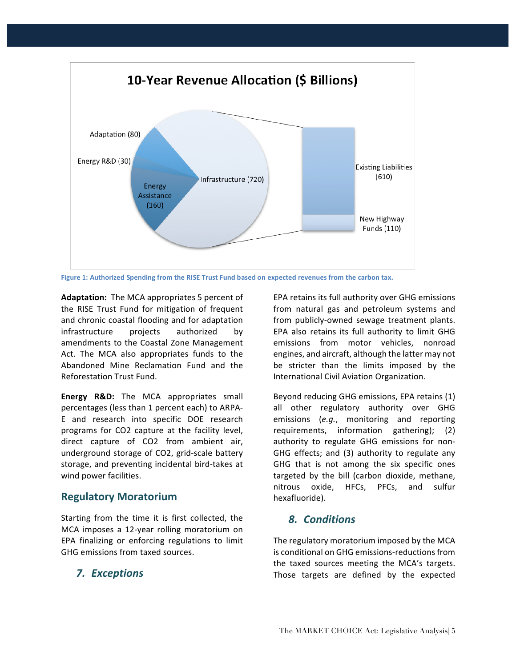

Figure 1: Authorized Spending from the RISE Trust Fund based on expected revenues from the carbon tax.

**Adaptation:** The MCA appropriates 5 percent of the RISE Trust Fund for mitigation of frequent and chronic coastal flooding and for adaptation infrastructure projects authorized by amendments to the Coastal Zone Management Act. The MCA also appropriates funds to the Abandoned Mine Reclamation Fund and the Reforestation Trust Fund. 

**Energy R&D:** The MCA appropriates small percentages (less than 1 percent each) to ARPA-E and research into specific DOE research programs for CO2 capture at the facility level, direct capture of CO2 from ambient air, underground storage of CO2, grid-scale battery storage, and preventing incidental bird-takes at wind power facilities.

#### **Regulatory Moratorium**

Starting from the time it is first collected, the MCA imposes a 12-year rolling moratorium on EPA finalizing or enforcing regulations to limit GHG emissions from taxed sources.

### *7. Exceptions*

EPA retains its full authority over GHG emissions from natural gas and petroleum systems and from publicly-owned sewage treatment plants. EPA also retains its full authority to limit GHG emissions from motor vehicles, nonroad engines, and aircraft, although the latter may not be stricter than the limits imposed by the International Civil Aviation Organization.

Beyond reducing GHG emissions, EPA retains (1) all other regulatory authority over GHG emissions (e.g., monitoring and reporting requirements, information gathering); (2) authority to regulate GHG emissions for non-GHG effects; and (3) authority to regulate any GHG that is not among the six specific ones targeted by the bill (carbon dioxide, methane, nitrous oxide, HFCs, PFCs, and sulfur hexafluoride).

## *8. Conditions*

The regulatory moratorium imposed by the MCA is conditional on GHG emissions-reductions from the taxed sources meeting the MCA's targets. Those targets are defined by the expected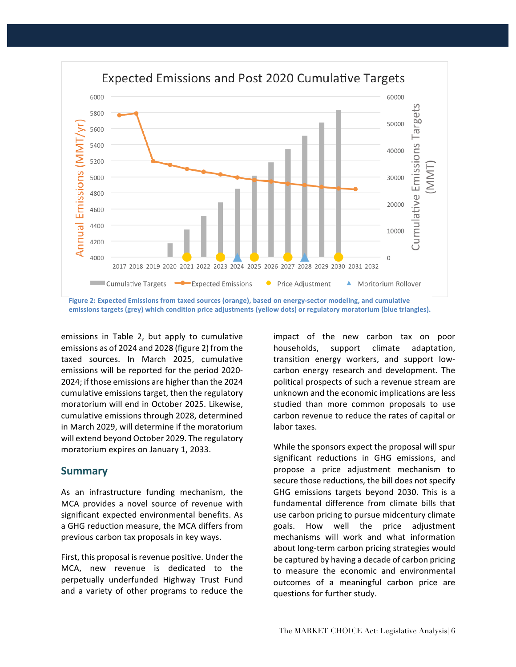

emissions targets (grey) which condition price adjustments (yellow dots) or regulatory moratorium (blue triangles).

emissions in Table 2, but apply to cumulative emissions as of 2024 and 2028 (figure 2) from the taxed sources. In March 2025, cumulative emissions will be reported for the period 2020-2024; if those emissions are higher than the 2024 cumulative emissions target, then the regulatory moratorium will end in October 2025. Likewise, cumulative emissions through 2028, determined in March 2029, will determine if the moratorium will extend beyond October 2029. The regulatory moratorium expires on January 1, 2033.

#### **Summary**

As an infrastructure funding mechanism, the MCA provides a novel source of revenue with significant expected environmental benefits. As a GHG reduction measure, the MCA differs from previous carbon tax proposals in key ways.

First, this proposal is revenue positive. Under the MCA, new revenue is dedicated to the perpetually underfunded Highway Trust Fund and a variety of other programs to reduce the

impact of the new carbon tax on poor households, support climate adaptation, transition energy workers, and support lowcarbon energy research and development. The political prospects of such a revenue stream are unknown and the economic implications are less studied than more common proposals to use carbon revenue to reduce the rates of capital or labor taxes.

While the sponsors expect the proposal will spur significant reductions in GHG emissions, and propose a price adjustment mechanism to secure those reductions, the bill does not specify GHG emissions targets beyond 2030. This is a fundamental difference from climate bills that use carbon pricing to pursue midcentury climate goals. How well the price adjustment mechanisms will work and what information about long-term carbon pricing strategies would be captured by having a decade of carbon pricing to measure the economic and environmental outcomes of a meaningful carbon price are questions for further study.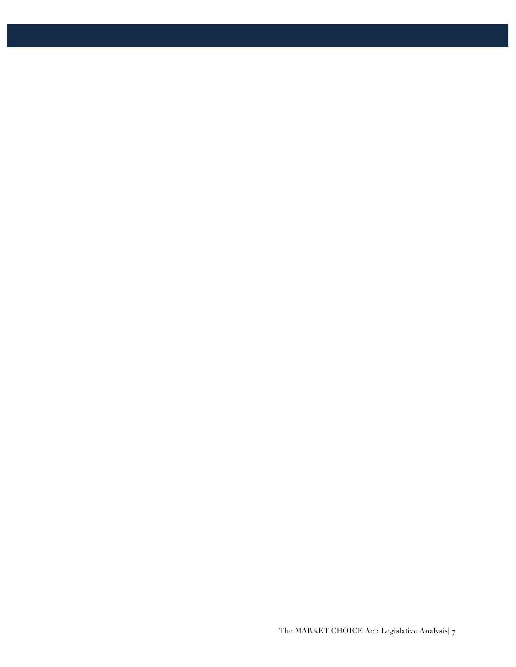The MARKET CHOICE Act: Legislative Analysis| 7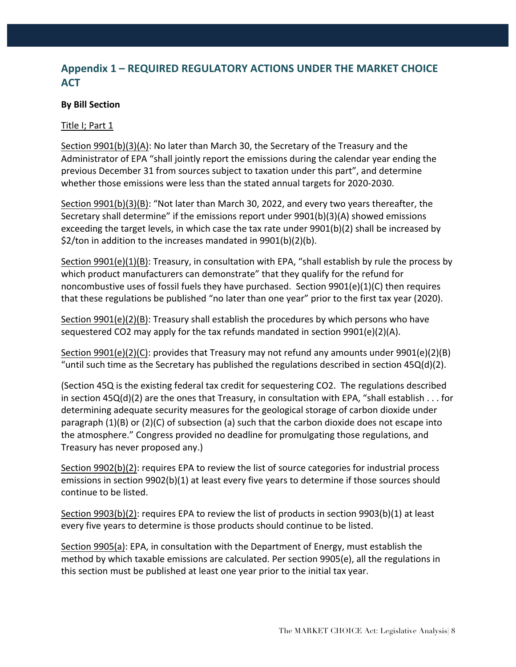## **Appendix 1 – REQUIRED REGULATORY ACTIONS UNDER THE MARKET CHOICE ACT**

#### **By Bill Section**

#### Title I; Part 1

Section  $9901(b)(3)(A)$ : No later than March 30, the Secretary of the Treasury and the Administrator of EPA "shall jointly report the emissions during the calendar year ending the previous December 31 from sources subject to taxation under this part", and determine whether those emissions were less than the stated annual targets for 2020-2030.

Section  $9901(b)(3)(B)$ : "Not later than March 30, 2022, and every two years thereafter, the Secretary shall determine" if the emissions report under  $9901(b)(3)(A)$  showed emissions exceeding the target levels, in which case the tax rate under  $9901(b)(2)$  shall be increased by \$2/ton in addition to the increases mandated in  $9901(b)(2)(b)$ .

Section  $9901(e)(1)(B)$ : Treasury, in consultation with EPA, "shall establish by rule the process by which product manufacturers can demonstrate" that they qualify for the refund for noncombustive uses of fossil fuels they have purchased. Section  $9901(e)(1)(C)$  then requires that these regulations be published "no later than one year" prior to the first tax year (2020).

Section  $9901(e)(2)(B)$ : Treasury shall establish the procedures by which persons who have sequestered CO2 may apply for the tax refunds mandated in section  $9901(e)(2)(A)$ .

Section  $9901(e)(2)(C)$ : provides that Treasury may not refund any amounts under  $9901(e)(2)(B)$ "until such time as the Secretary has published the regulations described in section  $45Q(d)(2)$ .

(Section 45Q is the existing federal tax credit for sequestering CO2. The regulations described in section  $45Q(d)(2)$  are the ones that Treasury, in consultation with EPA, "shall establish . . . for determining adequate security measures for the geological storage of carbon dioxide under paragraph  $(1)(B)$  or  $(2)(C)$  of subsection (a) such that the carbon dioxide does not escape into the atmosphere." Congress provided no deadline for promulgating those regulations, and Treasury has never proposed any.)

Section 9902(b)(2): requires EPA to review the list of source categories for industrial process emissions in section  $9902(b)(1)$  at least every five years to determine if those sources should continue to be listed.

Section  $9903(b)(2)$ : requires EPA to review the list of products in section  $9903(b)(1)$  at least every five years to determine is those products should continue to be listed.

Section 9905(a): EPA, in consultation with the Department of Energy, must establish the method by which taxable emissions are calculated. Per section  $9905(e)$ , all the regulations in this section must be published at least one year prior to the initial tax year.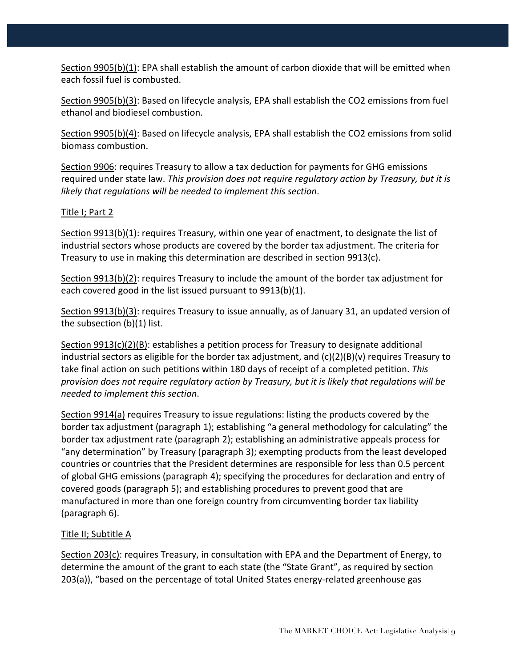Section  $9905(b)(1)$ : EPA shall establish the amount of carbon dioxide that will be emitted when each fossil fuel is combusted.

Section 9905(b)(3): Based on lifecycle analysis, EPA shall establish the CO2 emissions from fuel ethanol and biodiesel combustion.

Section 9905(b)(4): Based on lifecycle analysis, EPA shall establish the CO2 emissions from solid biomass combustion.

Section 9906: requires Treasury to allow a tax deduction for payments for GHG emissions required under state law. This provision does not require regulatory action by Treasury, but it is *likely* that regulations will be needed to implement this section.

#### Title I; Part 2

Section 9913(b)(1): requires Treasury, within one year of enactment, to designate the list of industrial sectors whose products are covered by the border tax adjustment. The criteria for Treasury to use in making this determination are described in section  $9913(c)$ .

Section  $9913(b)(2)$ : requires Treasury to include the amount of the border tax adjustment for each covered good in the list issued pursuant to  $9913(b)(1)$ .

Section 9913(b)(3): requires Treasury to issue annually, as of January 31, an updated version of the subsection  $(b)(1)$  list.

Section  $9913(c)(2)(B)$ : establishes a petition process for Treasury to designate additional industrial sectors as eligible for the border tax adjustment, and  $(c)(2)(B)(v)$  requires Treasury to take final action on such petitions within 180 days of receipt of a completed petition. *This provision does not require regulatory action by Treasury, but it is likely that regulations will be needed to implement this section*.

Section 9914(a) requires Treasury to issue regulations: listing the products covered by the border tax adjustment (paragraph 1); establishing "a general methodology for calculating" the border tax adjustment rate (paragraph 2); establishing an administrative appeals process for "any determination" by Treasury (paragraph 3); exempting products from the least developed countries or countries that the President determines are responsible for less than 0.5 percent of global GHG emissions (paragraph 4); specifying the procedures for declaration and entry of covered goods (paragraph 5); and establishing procedures to prevent good that are manufactured in more than one foreign country from circumventing border tax liability (paragraph 6). 

#### Title II; Subtitle A

Section  $203(c)$ : requires Treasury, in consultation with EPA and the Department of Energy, to determine the amount of the grant to each state (the "State Grant", as required by section  $203(a)$ , "based on the percentage of total United States energy-related greenhouse gas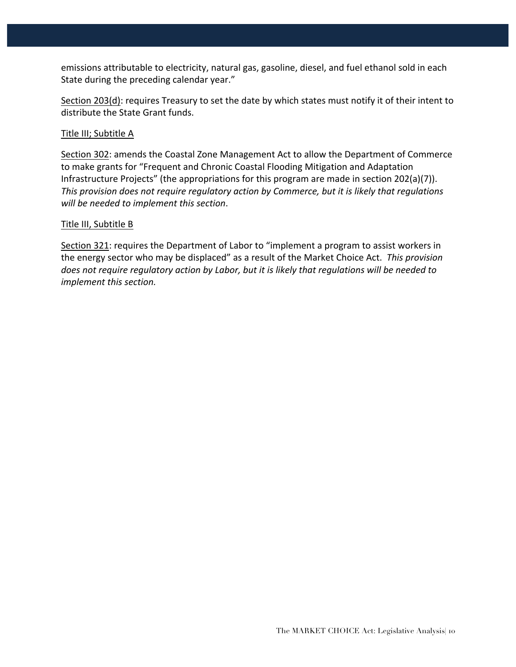emissions attributable to electricity, natural gas, gasoline, diesel, and fuel ethanol sold in each State during the preceding calendar year."

Section 203(d): requires Treasury to set the date by which states must notify it of their intent to distribute the State Grant funds.

#### Title III; Subtitle A

Section 302: amends the Coastal Zone Management Act to allow the Department of Commerce to make grants for "Frequent and Chronic Coastal Flooding Mitigation and Adaptation Infrastructure Projects" (the appropriations for this program are made in section  $202(a)(7)$ ). This provision does not require regulatory action by Commerce, but it is likely that regulations will be needed to implement this section.

#### Title III, Subtitle B

Section 321: requires the Department of Labor to "implement a program to assist workers in the energy sector who may be displaced" as a result of the Market Choice Act. This provision *does not require requlatory action by Labor, but it is likely that requlations will be needed to implement this section.*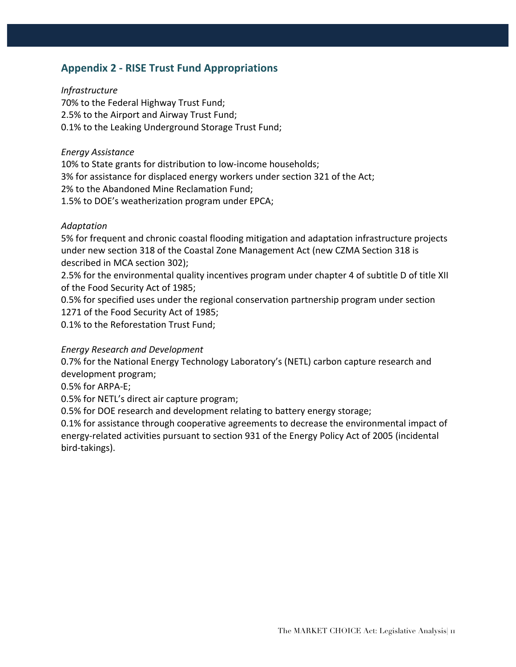## **Appendix 2 - RISE Trust Fund Appropriations**

#### *Infrastructure*

70% to the Federal Highway Trust Fund; 2.5% to the Airport and Airway Trust Fund; 0.1% to the Leaking Underground Storage Trust Fund;

#### *Energy Assistance*

10% to State grants for distribution to low-income households; 3% for assistance for displaced energy workers under section 321 of the Act; 2% to the Abandoned Mine Reclamation Fund; 1.5% to DOE's weatherization program under EPCA;

#### *Adaptation*

5% for frequent and chronic coastal flooding mitigation and adaptation infrastructure projects under new section 318 of the Coastal Zone Management Act (new CZMA Section 318 is described in MCA section 302);

2.5% for the environmental quality incentives program under chapter 4 of subtitle D of title XII of the Food Security Act of 1985;

0.5% for specified uses under the regional conservation partnership program under section 1271 of the Food Security Act of 1985;

0.1% to the Reforestation Trust Fund;

#### *Energy Research and Development*

0.7% for the National Energy Technology Laboratory's (NETL) carbon capture research and development program;

0.5% for ARPA-E;

0.5% for NETL's direct air capture program;

0.5% for DOE research and development relating to battery energy storage;

0.1% for assistance through cooperative agreements to decrease the environmental impact of energy-related activities pursuant to section 931 of the Energy Policy Act of 2005 (incidental bird-takings).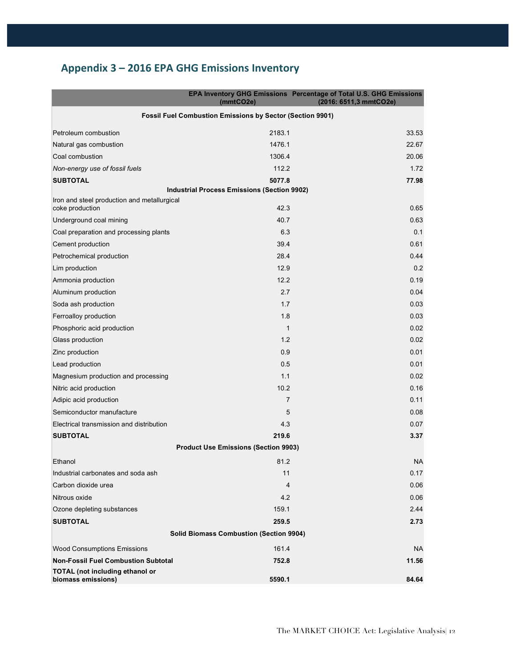## **Appendix 3 – 2016 EPA GHG Emissions Inventory**

|                                                                  | (mmtCO2e)      | <b>EPA Inventory GHG Emissions Percentage of Total U.S. GHG Emissions</b><br>(2016: 6511,3 mmtCO2e) |  |  |  |
|------------------------------------------------------------------|----------------|-----------------------------------------------------------------------------------------------------|--|--|--|
| <b>Fossil Fuel Combustion Emissions by Sector (Section 9901)</b> |                |                                                                                                     |  |  |  |
| Petroleum combustion                                             | 2183.1         | 33.53                                                                                               |  |  |  |
| Natural gas combustion                                           | 1476.1         | 22.67                                                                                               |  |  |  |
| Coal combustion                                                  | 1306.4         | 20.06                                                                                               |  |  |  |
| Non-energy use of fossil fuels                                   | 112.2          | 1.72                                                                                                |  |  |  |
| <b>SUBTOTAL</b>                                                  | 5077.8         | 77.98                                                                                               |  |  |  |
| <b>Industrial Process Emissions (Section 9902)</b>               |                |                                                                                                     |  |  |  |
| Iron and steel production and metallurgical<br>coke production   | 42.3           | 0.65                                                                                                |  |  |  |
| Underground coal mining                                          | 40.7           | 0.63                                                                                                |  |  |  |
| Coal preparation and processing plants                           | 6.3            | 0.1                                                                                                 |  |  |  |
| Cement production                                                | 39.4           | 0.61                                                                                                |  |  |  |
| Petrochemical production                                         | 28.4           | 0.44                                                                                                |  |  |  |
| Lim production                                                   | 12.9           | 0.2                                                                                                 |  |  |  |
| Ammonia production                                               | 12.2           | 0.19                                                                                                |  |  |  |
| Aluminum production                                              | 2.7            | 0.04                                                                                                |  |  |  |
| Soda ash production                                              | 1.7            | 0.03                                                                                                |  |  |  |
| Ferroalloy production                                            | 1.8            | 0.03                                                                                                |  |  |  |
| Phosphoric acid production                                       | $\mathbf{1}$   | 0.02                                                                                                |  |  |  |
| Glass production                                                 | 1.2            | 0.02                                                                                                |  |  |  |
| Zinc production                                                  | 0.9            | 0.01                                                                                                |  |  |  |
| Lead production                                                  | 0.5            | 0.01                                                                                                |  |  |  |
| Magnesium production and processing                              | 1.1            | 0.02                                                                                                |  |  |  |
| Nitric acid production                                           | 10.2           | 0.16                                                                                                |  |  |  |
| Adipic acid production                                           | $\overline{7}$ | 0.11                                                                                                |  |  |  |
| Semiconductor manufacture                                        | 5              | 0.08                                                                                                |  |  |  |
| Electrical transmission and distribution                         | 4.3            | 0.07                                                                                                |  |  |  |
| <b>SUBTOTAL</b>                                                  | 219.6          | 3.37                                                                                                |  |  |  |
| <b>Product Use Emissions (Section 9903)</b>                      |                |                                                                                                     |  |  |  |
| Ethanol                                                          | 81.2           | <b>NA</b>                                                                                           |  |  |  |
| Industrial carbonates and soda ash                               | 11             | 0.17                                                                                                |  |  |  |
| Carbon dioxide urea                                              | 4              | 0.06                                                                                                |  |  |  |
| Nitrous oxide                                                    | 4.2            | 0.06                                                                                                |  |  |  |
| Ozone depleting substances                                       | 159.1          | 2.44                                                                                                |  |  |  |
| <b>SUBTOTAL</b>                                                  | 259.5          | 2.73                                                                                                |  |  |  |
| <b>Solid Biomass Combustion (Section 9904)</b>                   |                |                                                                                                     |  |  |  |
| <b>Wood Consumptions Emissions</b>                               | 161.4          | NA                                                                                                  |  |  |  |
| <b>Non-Fossil Fuel Combustion Subtotal</b>                       | 752.8          | 11.56                                                                                               |  |  |  |
| <b>TOTAL</b> (not including ethanol or<br>biomass emissions)     | 5590.1         | 84.64                                                                                               |  |  |  |